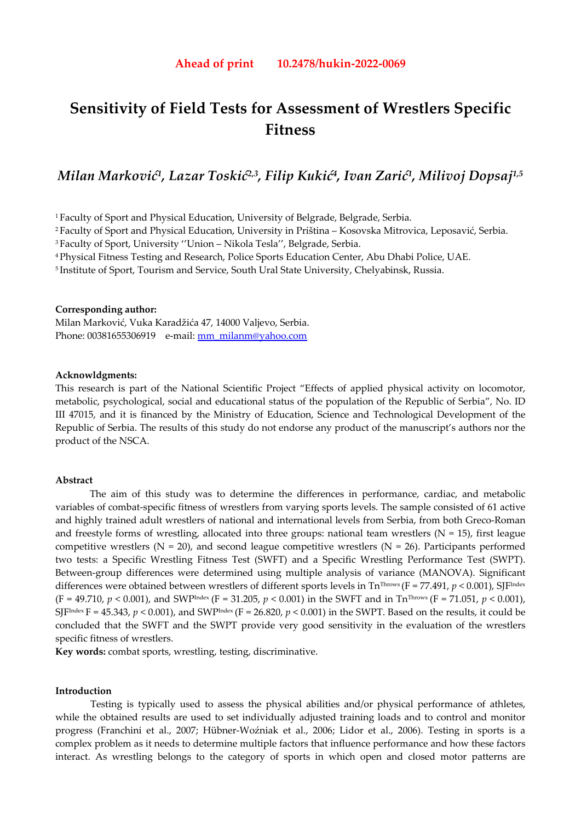# **Sensitivity of Field Tests for Assessment of Wrestlers Specific Fitness**

# *Milan Marković1, Lazar Toskić2,3, Filip Kukić4, Ivan Zarić1, Milivoj Dopsaj1,5*

1 Faculty of Sport and Physical Education, University of Belgrade, Belgrade, Serbia.

2 Faculty of Sport and Physical Education, University in Priština – Kosovska Mitrovica, Leposavić, Serbia.

3 Faculty of Sport, University ''Union – Nikola Tesla'', Belgrade, Serbia.

4 Physical Fitness Testing and Research, Police Sports Education Center, Abu Dhabi Police, UAE.

5 Institute of Sport, Tourism and Service, South Ural State University, Chelyabinsk, Russia.

## **Corresponding author:**

Milan Marković, Vuka Karadžića 47, 14000 Valjevo, Serbia. Phone: 00381655306919 e-mail: mm\_milanm@yahoo.com

#### **Acknowldgments:**

This research is part of the National Scientific Project "Effects of applied physical activity on locomotor, metabolic, psychological, social and educational status of the population of the Republic of Serbia", No. ID III 47015, and it is financed by the Ministry of Education, Science and Technological Development of the Republic of Serbia. The results of this study do not endorse any product of the manuscript's authors nor the product of the NSCA.

#### **Abstract**

The aim of this study was to determine the differences in performance, cardiac, and metabolic variables of combat-specific fitness of wrestlers from varying sports levels. The sample consisted of 61 active and highly trained adult wrestlers of national and international levels from Serbia, from both Greco-Roman and freestyle forms of wrestling, allocated into three groups: national team wrestlers ( $N = 15$ ), first league competitive wrestlers ( $N = 20$ ), and second league competitive wrestlers ( $N = 26$ ). Participants performed two tests: a Specific Wrestling Fitness Test (SWFT) and a Specific Wrestling Performance Test (SWPT). Between-group differences were determined using multiple analysis of variance (MANOVA). Significant differences were obtained between wrestlers of different sports levels in Tn<sup>Throws</sup> (F = 77.491, *p* < 0.001), SJF<sup>Index</sup>  $(F = 49.710, p < 0.001)$ , and SWP<sup>Index</sup>  $(F = 31.205, p < 0.001)$  in the SWFT and in Tn<sup>Throws</sup>  $(F = 71.051, p < 0.001)$ , SJF<sup>Index</sup> F = 45.343,  $p < 0.001$ ), and SWP<sup>Index</sup> (F = 26.820,  $p < 0.001$ ) in the SWPT. Based on the results, it could be concluded that the SWFT and the SWPT provide very good sensitivity in the evaluation of the wrestlers specific fitness of wrestlers.

**Key words:** combat sports, wrestling, testing, discriminative.

## **Introduction**

Testing is typically used to assess the physical abilities and/or physical performance of athletes, while the obtained results are used to set individually adjusted training loads and to control and monitor progress (Franchini et al., 2007; Hübner-Woźniak et al., 2006; Lidor et al., 2006). Testing in sports is a complex problem as it needs to determine multiple factors that influence performance and how these factors interact. As wrestling belongs to the category of sports in which open and closed motor patterns are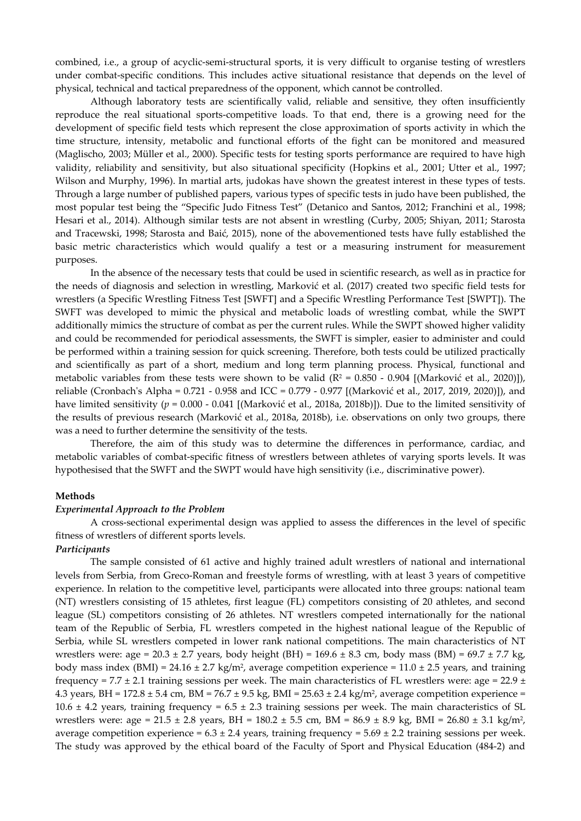combined, i.e., a group of acyclic-semi-structural sports, it is very difficult to organise testing of wrestlers under combat-specific conditions. This includes active situational resistance that depends on the level of physical, technical and tactical preparedness of the opponent, which cannot be controlled.

Although laboratory tests are scientifically valid, reliable and sensitive, they often insufficiently reproduce the real situational sports-competitive loads. To that end, there is a growing need for the development of specific field tests which represent the close approximation of sports activity in which the time structure, intensity, metabolic and functional efforts of the fight can be monitored and measured (Maglischo, 2003; Müller et al., 2000). Specific tests for testing sports performance are required to have high validity, reliability and sensitivity, but also situational specificity (Hopkins et al., 2001; Utter et al., 1997; Wilson and Murphy, 1996). In martial arts, judokas have shown the greatest interest in these types of tests. Through a large number of published papers, various types of specific tests in judo have been published, the most popular test being the "Specific Judo Fitness Test" (Detanico and Santos, 2012; Franchini et al., 1998; Hesari et al., 2014). Although similar tests are not absent in wrestling (Curby, 2005; Shiyan, 2011; Starosta and Tracewski, 1998; Starosta and Baić, 2015), none of the abovementioned tests have fully established the basic metric characteristics which would qualify a test or a measuring instrument for measurement purposes.

In the absence of the necessary tests that could be used in scientific research, as well as in practice for the needs of diagnosis and selection in wrestling, Marković et al. (2017) created two specific field tests for wrestlers (a Specific Wrestling Fitness Test [SWFT] and a Specific Wrestling Performance Test [SWPT]). The SWFT was developed to mimic the physical and metabolic loads of wrestling combat, while the SWPT additionally mimics the structure of combat as per the current rules. While the SWPT showed higher validity and could be recommended for periodical assessments, the SWFT is simpler, easier to administer and could be performed within a training session for quick screening. Therefore, both tests could be utilized practically and scientifically as part of a short, medium and long term planning process. Physical, functional and metabolic variables from these tests were shown to be valid ( $R^2 = 0.850 - 0.904$  [(Marković et al., 2020)]), reliable (Cronbach's Alpha = 0.721 - 0.958 and ICC = 0.779 - 0.977 [(Marković et al., 2017, 2019, 2020)]), and have limited sensitivity (*p* = 0.000 - 0.041 [(Marković et al., 2018a, 2018b)]). Due to the limited sensitivity of the results of previous research (Marković et al., 2018a, 2018b), i.e. observations on only two groups, there was a need to further determine the sensitivity of the tests.

Therefore, the aim of this study was to determine the differences in performance, cardiac, and metabolic variables of combat-specific fitness of wrestlers between athletes of varying sports levels. It was hypothesised that the SWFT and the SWPT would have high sensitivity (i.e., discriminative power).

## **Methods**

#### *Experimental Approach to the Problem*

A cross-sectional experimental design was applied to assess the differences in the level of specific fitness of wrestlers of different sports levels.

## *Participants*

The sample consisted of 61 active and highly trained adult wrestlers of national and international levels from Serbia, from Greco-Roman and freestyle forms of wrestling, with at least 3 years of competitive experience. In relation to the competitive level, participants were allocated into three groups: national team (NT) wrestlers consisting of 15 athletes, first league (FL) competitors consisting of 20 athletes, and second league (SL) competitors consisting of 26 athletes. NT wrestlers competed internationally for the national team of the Republic of Serbia, FL wrestlers competed in the highest national league of the Republic of Serbia, while SL wrestlers competed in lower rank national competitions. The main characteristics of NT wrestlers were: age =  $20.3 \pm 2.7$  years, body height (BH) =  $169.6 \pm 8.3$  cm, body mass (BM) =  $69.7 \pm 7.7$  kg, body mass index (BMI) = 24.16  $\pm$  2.7 kg/m<sup>2</sup>, average competition experience = 11.0  $\pm$  2.5 years, and training frequency = 7.7  $\pm$  2.1 training sessions per week. The main characteristics of FL wrestlers were: age = 22.9  $\pm$ 4.3 years, BH =  $172.8 \pm 5.4$  cm, BM =  $76.7 \pm 9.5$  kg, BMI =  $25.63 \pm 2.4$  kg/m<sup>2</sup>, average competition experience = 10.6  $\pm$  4.2 years, training frequency = 6.5  $\pm$  2.3 training sessions per week. The main characteristics of SL wrestlers were:  $age = 21.5 \pm 2.8$  years,  $BH = 180.2 \pm 5.5$  cm,  $BM = 86.9 \pm 8.9$  kg,  $BMI = 26.80 \pm 3.1$  kg/m<sup>2</sup>, average competition experience =  $6.3 \pm 2.4$  years, training frequency =  $5.69 \pm 2.2$  training sessions per week. The study was approved by the ethical board of the Faculty of Sport and Physical Education (484-2) and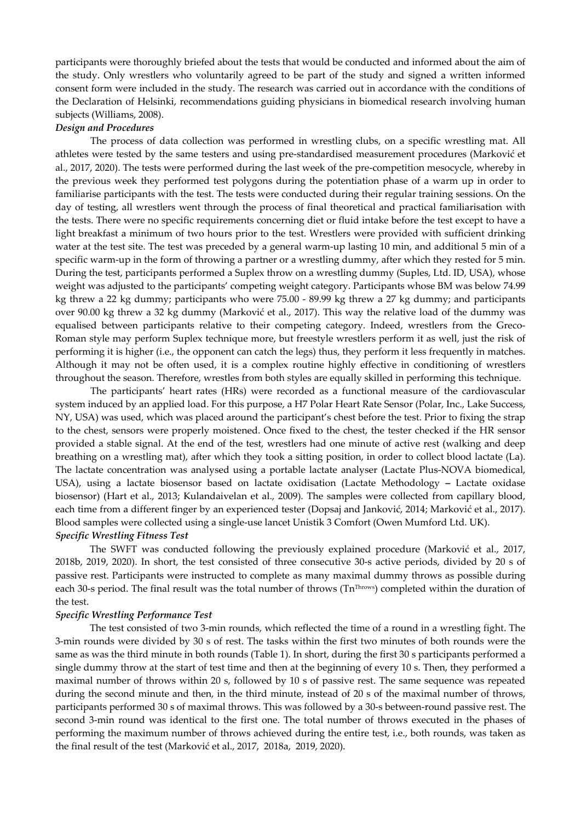participants were thoroughly briefed about the tests that would be conducted and informed about the aim of the study. Only wrestlers who voluntarily agreed to be part of the study and signed a written informed consent form were included in the study. The research was carried out in accordance with the conditions of the Declaration of Helsinki, recommendations guiding physicians in biomedical research involving human subjects (Williams, 2008).

## *Design and Procedures*

The process of data collection was performed in wrestling clubs, on a specific wrestling mat. All athletes were tested by the same testers and using pre-standardised measurement procedures (Marković et al., 2017, 2020). The tests were performed during the last week of the pre-competition mesocycle, whereby in the previous week they performed test polygons during the potentiation phase of a warm up in order to familiarise participants with the test. The tests were conducted during their regular training sessions. On the day of testing, all wrestlers went through the process of final theoretical and practical familiarisation with the tests. There were no specific requirements concerning diet or fluid intake before the test except to have a light breakfast a minimum of two hours prior to the test. Wrestlers were provided with sufficient drinking water at the test site. The test was preceded by a general warm-up lasting 10 min, and additional 5 min of a specific warm-up in the form of throwing a partner or a wrestling dummy, after which they rested for 5 min. During the test, participants performed a Suplex throw on a wrestling dummy (Suples, Ltd. ID, USA), whose weight was adjusted to the participants' competing weight category. Participants whose BM was below 74.99 kg threw a 22 kg dummy; participants who were 75.00 - 89.99 kg threw a 27 kg dummy; and participants over 90.00 kg threw a 32 kg dummy (Marković et al., 2017). This way the relative load of the dummy was equalised between participants relative to their competing category. Indeed, wrestlers from the Greco-Roman style may perform Suplex technique more, but freestyle wrestlers perform it as well, just the risk of performing it is higher (i.e., the opponent can catch the legs) thus, they perform it less frequently in matches. Although it may not be often used, it is a complex routine highly effective in conditioning of wrestlers throughout the season. Therefore, wrestles from both styles are equally skilled in performing this technique.

The participants' heart rates (HRs) were recorded as a functional measure of the cardiovascular system induced by an applied load. For this purpose, a H7 Polar Heart Rate Sensor (Polar, Inc., Lake Success, NY, USA) was used, which was placed around the participant's chest before the test. Prior to fixing the strap to the chest, sensors were properly moistened. Once fixed to the chest, the tester checked if the HR sensor provided a stable signal. At the end of the test, wrestlers had one minute of active rest (walking and deep breathing on a wrestling mat), after which they took a sitting position, in order to collect blood lactate (La). The lactate concentration was analysed using a portable lactate analyser (Lactate Plus-NOVA biomedical, USA), using a lactate biosensor based on lactate oxidisation (Lactate Methodology **–** Lactate oxidase biosensor) (Hart et al., 2013; Kulandaivelan et al., 2009). The samples were collected from capillary blood, each time from a different finger by an experienced tester (Dopsaj and Janković, 2014; Marković et al., 2017). Blood samples were collected using a single-use lancet Unistik 3 Comfort (Owen Mumford Ltd. UK).

## *Specific Wrestling Fitness Test*

The SWFT was conducted following the previously explained procedure (Marković et al., 2017, 2018b, 2019, 2020). In short, the test consisted of three consecutive 30-s active periods, divided by 20 s of passive rest. Participants were instructed to complete as many maximal dummy throws as possible during each 30-s period. The final result was the total number of throws (TnThrows) completed within the duration of the test.

## *Specific Wrestling Performance Test*

The test consisted of two 3-min rounds, which reflected the time of a round in a wrestling fight. The 3-min rounds were divided by 30 s of rest. The tasks within the first two minutes of both rounds were the same as was the third minute in both rounds (Table 1). In short, during the first 30 s participants performed a single dummy throw at the start of test time and then at the beginning of every 10 s. Then, they performed a maximal number of throws within 20 s, followed by 10 s of passive rest. The same sequence was repeated during the second minute and then, in the third minute, instead of 20 s of the maximal number of throws, participants performed 30 s of maximal throws. This was followed by a 30-s between-round passive rest. The second 3-min round was identical to the first one. The total number of throws executed in the phases of performing the maximum number of throws achieved during the entire test, i.e., both rounds, was taken as the final result of the test (Marković et al., 2017, 2018a, 2019, 2020).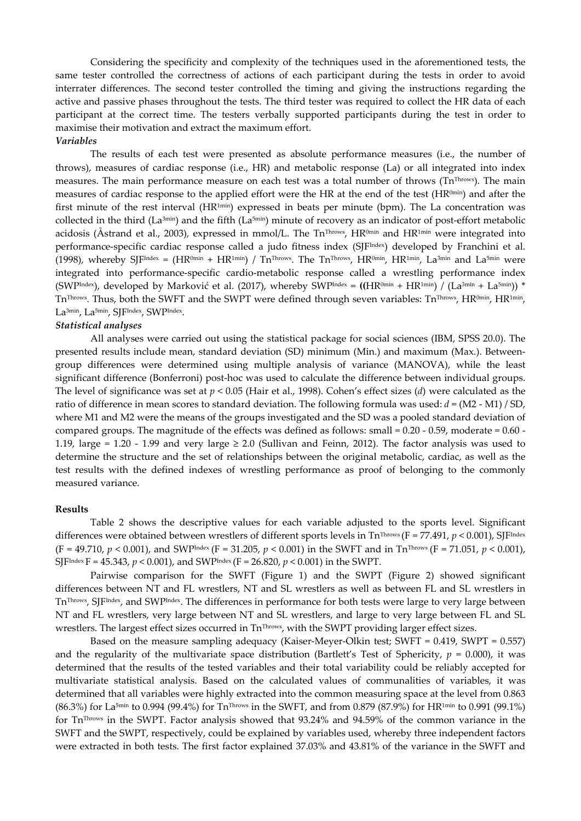Considering the specificity and complexity of the techniques used in the aforementioned tests, the same tester controlled the correctness of actions of each participant during the tests in order to avoid interrater differences. The second tester controlled the timing and giving the instructions regarding the active and passive phases throughout the tests. The third tester was required to collect the HR data of each participant at the correct time. The testers verbally supported participants during the test in order to maximise their motivation and extract the maximum effort. *Variables* 

The results of each test were presented as absolute performance measures (i.e., the number of throws), measures of cardiac response (i.e., HR) and metabolic response (La) or all integrated into index measures. The main performance measure on each test was a total number of throws ( $Tn<sup>Throws</sup>$ ). The main measures of cardiac response to the applied effort were the HR at the end of the test (HR0min) and after the first minute of the rest interval (HR<sup>1min</sup>) expressed in beats per minute (bpm). The La concentration was collected in the third ( $La^{3min}$ ) and the fifth ( $La^{5min}$ ) minute of recovery as an indicator of post-effort metabolic acidosis (Åstrand et al., 2003), expressed in mmol/L. The Tn<sup>Throws</sup>, HR<sup>0min</sup> and HR<sup>1min</sup> were integrated into performance-specific cardiac response called a judo fitness index (SJFIndex) developed by Franchini et al. (1998), whereby SJFIndex =  $(HR^{0min} + HR^{1min}) / Th^{Throws}$ . The TnThrows,  $HR^{0min}$ ,  $HR^{1min}$ ,  $La^{3min}$  and  $La^{5min}$  were integrated into performance-specific cardio-metabolic response called a wrestling performance index (SWPIndex), developed by Marković et al. (2017), whereby SWPIndex =  $((HR^{0min} + HR^{1min}) / (La^{3min} + La^{5min}))$  \* TnThrows. Thus, both the SWFT and the SWPT were defined through seven variables: TnThrows, HR<sup>0min</sup>, HR<sup>1min</sup>, La<sup>3min</sup>, La<sup>5min</sup>, SJFIndex, SWPIndex.

#### *Statistical analyses*

All analyses were carried out using the statistical package for social sciences (IBM, SPSS 20.0). The presented results include mean, standard deviation (SD) minimum (Min.) and maximum (Max.). Betweengroup differences were determined using multiple analysis of variance (MANOVA), while the least significant difference (Bonferroni) post-hoc was used to calculate the difference between individual groups. The level of significance was set at *p* < 0.05 (Hair et al., 1998). Cohen's effect sizes (*d*) were calculated as the ratio of difference in mean scores to standard deviation. The following formula was used: *d* = (M2 - M1) / SD, where M1 and M2 were the means of the groups investigated and the SD was a pooled standard deviation of compared groups. The magnitude of the effects was defined as follows: small  $= 0.20 - 0.59$ , moderate  $= 0.60 - 1.59$ 1.19, large = 1.20 - 1.99 and very large  $\geq$  2.0 (Sullivan and Feinn, 2012). The factor analysis was used to determine the structure and the set of relationships between the original metabolic, cardiac, as well as the test results with the defined indexes of wrestling performance as proof of belonging to the commonly measured variance.

## **Results**

Table 2 shows the descriptive values for each variable adjusted to the sports level. Significant differences were obtained between wrestlers of different sports levels in Tn<sup>Throws</sup> (F = 77.491, *p* < 0.001), SJF<sup>Index</sup>  $(F = 49.710, p < 0.001)$ , and SWP<sup>Index</sup>  $(F = 31.205, p < 0.001)$  in the SWFT and in Tn<sup>Throws</sup>  $(F = 71.051, p < 0.001)$ , SJFIndex F = 45.343, *p* < 0.001), and SWPIndex (F = 26.820, *p* < 0.001) in the SWPT.

Pairwise comparison for the SWFT (Figure 1) and the SWPT (Figure 2) showed significant differences between NT and FL wrestlers, NT and SL wrestlers as well as between FL and SL wrestlers in TnThrows, SJFIndex, and SWPIndex. The differences in performance for both tests were large to very large between NT and FL wrestlers, very large between NT and SL wrestlers, and large to very large between FL and SL wrestlers. The largest effect sizes occurred in Tn<sup>Throws</sup>, with the SWPT providing larger effect sizes.

Based on the measure sampling adequacy (Kaiser-Meyer-Olkin test; SWFT = 0.419, SWPT = 0.557) and the regularity of the multivariate space distribution (Bartlett's Test of Sphericity,  $p = 0.000$ ), it was determined that the results of the tested variables and their total variability could be reliably accepted for multivariate statistical analysis. Based on the calculated values of communalities of variables, it was determined that all variables were highly extracted into the common measuring space at the level from 0.863 (86.3%) for La5min to 0.994 (99.4%) for TnThrows in the SWFT, and from 0.879 (87.9%) for HR1min to 0.991 (99.1%) for TnThrows in the SWPT. Factor analysis showed that 93.24% and 94.59% of the common variance in the SWFT and the SWPT, respectively, could be explained by variables used, whereby three independent factors were extracted in both tests. The first factor explained 37.03% and 43.81% of the variance in the SWFT and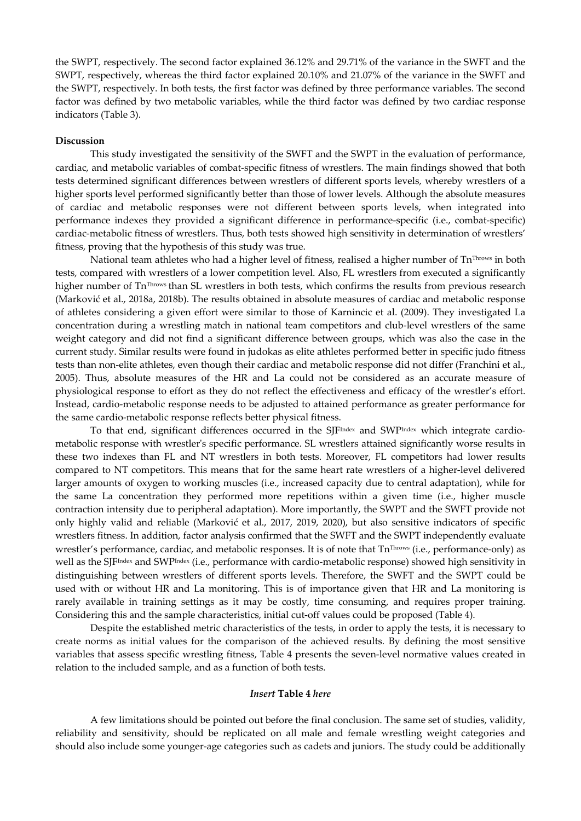the SWPT, respectively. The second factor explained 36.12% and 29.71% of the variance in the SWFT and the SWPT, respectively, whereas the third factor explained 20.10% and 21.07% of the variance in the SWFT and the SWPT, respectively. In both tests, the first factor was defined by three performance variables. The second factor was defined by two metabolic variables, while the third factor was defined by two cardiac response indicators (Table 3).

## **Discussion**

This study investigated the sensitivity of the SWFT and the SWPT in the evaluation of performance, cardiac, and metabolic variables of combat-specific fitness of wrestlers. The main findings showed that both tests determined significant differences between wrestlers of different sports levels, whereby wrestlers of a higher sports level performed significantly better than those of lower levels. Although the absolute measures of cardiac and metabolic responses were not different between sports levels, when integrated into performance indexes they provided a significant difference in performance-specific (i.e., combat-specific) cardiac-metabolic fitness of wrestlers. Thus, both tests showed high sensitivity in determination of wrestlers' fitness, proving that the hypothesis of this study was true.

National team athletes who had a higher level of fitness, realised a higher number of  $Tn^{Throws}$  in both tests, compared with wrestlers of a lower competition level. Also, FL wrestlers from executed a significantly higher number of Tn<sup>Throws</sup> than SL wrestlers in both tests, which confirms the results from previous research (Marković et al., 2018a, 2018b). The results obtained in absolute measures of cardiac and metabolic response of athletes considering a given effort were similar to those of Karnincic et al. (2009). They investigated La concentration during a wrestling match in national team competitors and club-level wrestlers of the same weight category and did not find a significant difference between groups, which was also the case in the current study. Similar results were found in judokas as elite athletes performed better in specific judo fitness tests than non-elite athletes, even though their cardiac and metabolic response did not differ (Franchini et al., 2005). Thus, absolute measures of the HR and La could not be considered as an accurate measure of physiological response to effort as they do not reflect the effectiveness and efficacy of the wrestler's effort. Instead, cardio-metabolic response needs to be adjusted to attained performance as greater performance for the same cardio-metabolic response reflects better physical fitness.

To that end, significant differences occurred in the SJFIndex and SWPIndex which integrate cardiometabolic response with wrestler's specific performance. SL wrestlers attained significantly worse results in these two indexes than FL and NT wrestlers in both tests. Moreover, FL competitors had lower results compared to NT competitors. This means that for the same heart rate wrestlers of a higher-level delivered larger amounts of oxygen to working muscles (i.e., increased capacity due to central adaptation), while for the same La concentration they performed more repetitions within a given time (i.e., higher muscle contraction intensity due to peripheral adaptation). More importantly, the SWPT and the SWFT provide not only highly valid and reliable (Marković et al., 2017, 2019, 2020), but also sensitive indicators of specific wrestlers fitness. In addition, factor analysis confirmed that the SWFT and the SWPT independently evaluate wrestler's performance, cardiac, and metabolic responses. It is of note that Tn<sup>Throws</sup> (i.e., performance-only) as well as the SJFIndex and SWPIndex (i.e., performance with cardio-metabolic response) showed high sensitivity in distinguishing between wrestlers of different sports levels. Therefore, the SWFT and the SWPT could be used with or without HR and La monitoring. This is of importance given that HR and La monitoring is rarely available in training settings as it may be costly, time consuming, and requires proper training. Considering this and the sample characteristics, initial cut-off values could be proposed (Table 4).

Despite the established metric characteristics of the tests, in order to apply the tests, it is necessary to create norms as initial values for the comparison of the achieved results. By defining the most sensitive variables that assess specific wrestling fitness, Table 4 presents the seven-level normative values created in relation to the included sample, and as a function of both tests.

## *Insert* **Table 4** *here*

A few limitations should be pointed out before the final conclusion. The same set of studies, validity, reliability and sensitivity, should be replicated on all male and female wrestling weight categories and should also include some younger-age categories such as cadets and juniors. The study could be additionally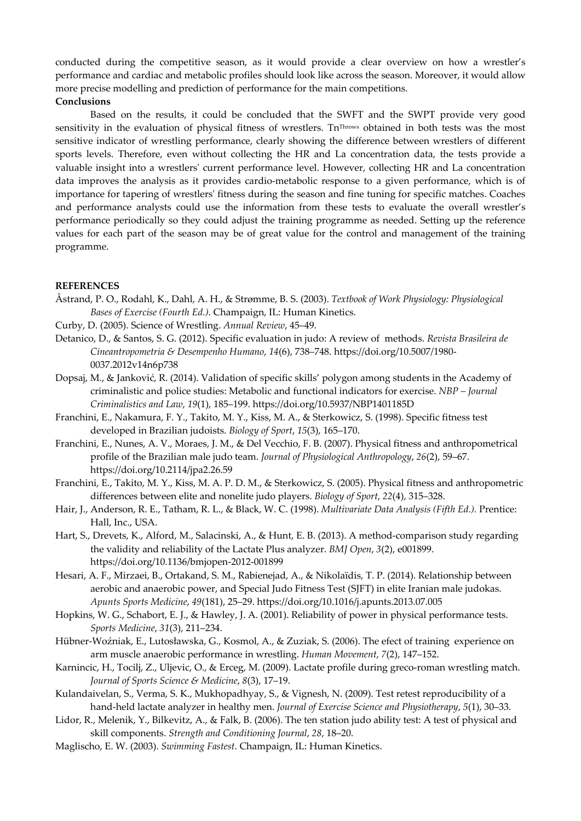conducted during the competitive season, as it would provide a clear overview on how a wrestler's performance and cardiac and metabolic profiles should look like across the season. Moreover, it would allow more precise modelling and prediction of performance for the main competitions.

## **Conclusions**

Based on the results, it could be concluded that the SWFT and the SWPT provide very good sensitivity in the evaluation of physical fitness of wrestlers. Tn<sup>Throws</sup> obtained in both tests was the most sensitive indicator of wrestling performance, clearly showing the difference between wrestlers of different sports levels. Therefore, even without collecting the HR and La concentration data, the tests provide a valuable insight into a wrestlers' current performance level. However, collecting HR and La concentration data improves the analysis as it provides cardio-metabolic response to a given performance, which is of importance for tapering of wrestlers' fitness during the season and fine tuning for specific matches. Coaches and performance analysts could use the information from these tests to evaluate the overall wrestler's performance periodically so they could adjust the training programme as needed. Setting up the reference values for each part of the season may be of great value for the control and management of the training programme.

## **REFERENCES**

- Åstrand, P. O., Rodahl, K., Dahl, A. H., & Strømme, B. S. (2003). *Textbook of Work Physiology: Physiological Bases of Exercise (Fourth Ed.)*. Champaign, IL: Human Kinetics.
- Curby, D. (2005). Science of Wrestling. *Annual Review*, 45–49.
- Detanico, D., & Santos, S. G. (2012). Specific evaluation in judo: A review of methods. *Revista Brasileira de Cineantropometria & Desempenho Humano*, *14*(6), 738–748. https://doi.org/10.5007/1980- 0037.2012v14n6p738
- Dopsaj, M., & Janković, R. (2014). Validation of specific skills' polygon among students in the Academy of criminalistic and police studies: Metabolic and functional indicators for exercise. *NBP – Journal Criminalistics and Law*, *19*(1), 185–199. https://doi.org/10.5937/NBP1401185D
- Franchini, E., Nakamura, F. Y., Takito, M. Y., Kiss, M. A., & Sterkowicz, S. (1998). Specific fitness test developed in Brazilian judoists. *Biology of Sport*, *15*(3), 165–170.
- Franchini, E., Nunes, A. V., Moraes, J. M., & Del Vecchio, F. B. (2007). Physical fitness and anthropometrical profile of the Brazilian male judo team. *Journal of Physiological Anthropology*, *26*(2), 59–67. https://doi.org/10.2114/jpa2.26.59
- Franchini, E., Takito, M. Y., Kiss, M. A. P. D. M., & Sterkowicz, S. (2005). Physical fitness and anthropometric differences between elite and nonelite judo players. *Biology of Sport*, *22*(4), 315–328.
- Hair, J., Anderson, R. E., Tatham, R. L., & Black, W. C. (1998). *Multivariate Data Analysis (Fifth Ed.).* Prentice: Hall, Inc., USA.
- Hart, S., Drevets, K., Alford, M., Salacinski, A., & Hunt, E. B. (2013). A method-comparison study regarding the validity and reliability of the Lactate Plus analyzer. *BMJ Open*, *3*(2), e001899. https://doi.org/10.1136/bmjopen-2012-001899
- Hesari, A. F., Mirzaei, B., Ortakand, S. M., Rabienejad, A., & Nikolaïdis, T. P. (2014). Relationship between aerobic and anaerobic power, and Special Judo Fitness Test (SJFT) in elite Iranian male judokas. *Apunts Sports Medicine*, *49*(181), 25–29. https://doi.org/10.1016/j.apunts.2013.07.005
- Hopkins, W. G., Schabort, E. J., & Hawley, J. A. (2001). Reliability of power in physical performance tests. *Sports Medicine*, *31*(3), 211–234.
- Hübner-Woźniak, E., Lutosławska, G., Kosmol, A., & Zuziak, S. (2006). The efect of training experience on arm muscle anaerobic performance in wrestling. *Human Movement*, *7*(2), 147–152.
- Karnincic, H., Tocilj, Z., Uljevic, O., & Erceg, M. (2009). Lactate profile during greco-roman wrestling match. *Journal of Sports Science & Medicine*, *8*(3), 17–19.
- Kulandaivelan, S., Verma, S. K., Mukhopadhyay, S., & Vignesh, N. (2009). Test retest reproducibility of a hand-held lactate analyzer in healthy men. *Journal of Exercise Science and Physiotherapy*, *5*(1), 30–33.
- Lidor, R., Melenik, Y., Bilkevitz, A., & Falk, B. (2006). The ten station judo ability test: A test of physical and skill components. *Strength and Conditioning Journal*, *28*, 18–20.
- Maglischo, E. W. (2003). *Swimming Fastest*. Champaign, IL: Human Kinetics.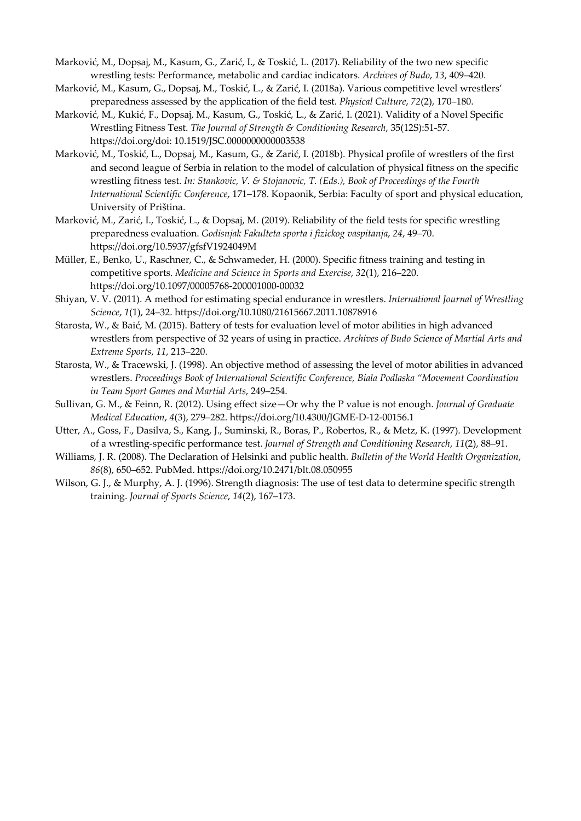- Marković, M., Dopsaj, M., Kasum, G., Zarić, I., & Toskić, L. (2017). Reliability of the two new specific wrestling tests: Performance, metabolic and cardiac indicators. *Archives of Budo*, *13*, 409–420.
- Marković, M., Kasum, G., Dopsaj, M., Toskić, L., & Zarić, I. (2018a). Various competitive level wrestlers' preparedness assessed by the application of the field test. *Physical Culture*, *72*(2), 170–180.
- Marković, M., Kukić, F., Dopsaj, M., Kasum, G., Toskić, L., & Zarić, I. (2021). Validity of a Novel Specific Wrestling Fitness Test. *The Journal of Strength & Conditioning Research*, 35(12S):51-57. https://doi.org/doi: 10.1519/JSC.0000000000003538
- Marković, M., Toskić, L., Dopsaj, M., Kasum, G., & Zarić, I. (2018b). Physical profile of wrestlers of the first and second league of Serbia in relation to the model of calculation of physical fitness on the specific wrestling fitness test. *In: Stankovic, V. & Stojanovic, T. (Eds.), Book of Proceedings of the Fourth International Scientific Conference*, 171–178. Kopaonik, Serbia: Faculty of sport and physical education, University of Priština.
- Marković, M., Zarić, I., Toskić, L., & Dopsaj, M. (2019). Reliability of the field tests for specific wrestling preparedness evaluation. *Godisnjak Fakulteta sporta i fizickog vaspitanja*, *24*, 49–70. https://doi.org/10.5937/gfsfV1924049M
- Müller, E., Benko, U., Raschner, C., & Schwameder, H. (2000). Specific fitness training and testing in competitive sports. *Medicine and Science in Sports and Exercise*, *32*(1), 216–220. https://doi.org/10.1097/00005768-200001000-00032
- Shiyan, V. V. (2011). A method for estimating special endurance in wrestlers. *International Journal of Wrestling Science*, *1*(1), 24–32. https://doi.org/10.1080/21615667.2011.10878916
- Starosta, W., & Baić, M. (2015). Battery of tests for evaluation level of motor abilities in high advanced wrestlers from perspective of 32 years of using in practice. *Archives of Budo Science of Martial Arts and Extreme Sports*, *11*, 213–220.
- Starosta, W., & Tracewski, J. (1998). An objective method of assessing the level of motor abilities in advanced wrestlers. *Proceedings Book of International Scientific Conference, Biala Podlaska "Movement Coordination in Team Sport Games and Martial Arts*, 249–254.
- Sullivan, G. M., & Feinn, R. (2012). Using effect size—Or why the P value is not enough. *Journal of Graduate Medical Education*, *4*(3), 279–282. https://doi.org/10.4300/JGME-D-12-00156.1
- Utter, A., Goss, F., Dasilva, S., Kang, J., Suminski, R., Boras, P., Robertos, R., & Metz, K. (1997). Development of a wrestling-specific performance test. *Journal of Strength and Conditioning Research*, *11*(2), 88–91.
- Williams, J. R. (2008). The Declaration of Helsinki and public health. *Bulletin of the World Health Organization*, *86*(8), 650–652. PubMed. https://doi.org/10.2471/blt.08.050955
- Wilson, G. J., & Murphy, A. J. (1996). Strength diagnosis: The use of test data to determine specific strength training. *Journal of Sports Science*, *14*(2), 167–173.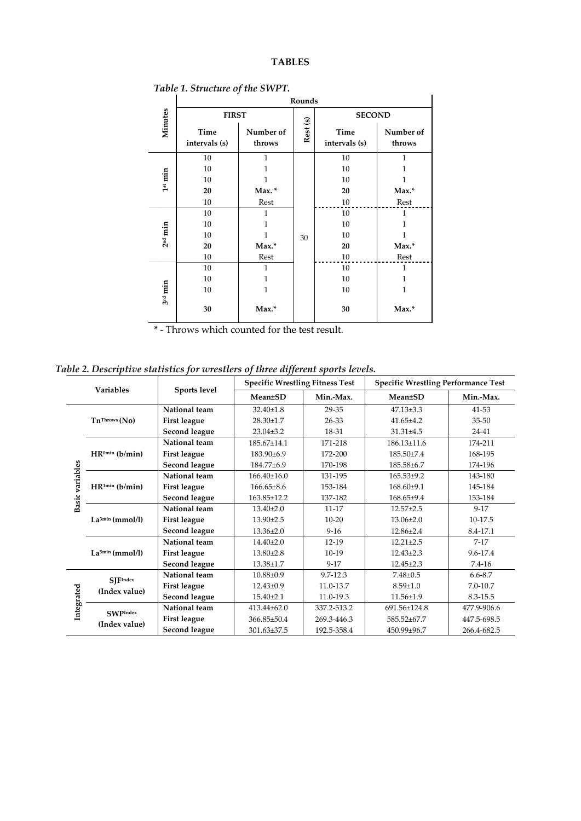# **TABLES**

|                     | Rounds                |                     |         |                       |                     |  |  |
|---------------------|-----------------------|---------------------|---------|-----------------------|---------------------|--|--|
| Minutes             | <b>FIRST</b>          |                     |         | <b>SECOND</b>         |                     |  |  |
|                     | Time<br>intervals (s) | Number of<br>throws | Rest(s) | Time<br>intervals (s) | Number of<br>throws |  |  |
| 1 <sup>st</sup> min | 10                    | 1                   |         | 10                    | 1                   |  |  |
|                     | 10                    | 1                   |         | 10                    | 1                   |  |  |
|                     | 10                    | 1                   |         | 10                    | 1                   |  |  |
|                     | 20                    | Max. *              |         | 20                    | Max.*               |  |  |
|                     | 10                    | Rest                |         | 10                    | Rest                |  |  |
|                     | 10                    | 1                   |         | 10                    | 1                   |  |  |
| 2 <sup>nd</sup> min | 10                    | 1                   |         | 10                    | 1                   |  |  |
|                     | 10                    | 1                   | 30      | 10                    | 1                   |  |  |
|                     | 20                    | $Max.*$             |         | 20                    | Max.*               |  |  |
|                     | 10                    | Rest                |         | 10                    | Rest                |  |  |
|                     | 10                    | 1                   |         | 10                    | 1                   |  |  |
| $3rd$ min           | 10                    | 1                   |         | 10                    | 1                   |  |  |
|                     | 10                    | $\mathbf{1}$        |         | 10                    | $\mathbf{1}$        |  |  |
|                     | 30                    | Max.*               |         | 30                    | Max.*               |  |  |

*Table 1. Structure of the SWPT.*

\* - Throws which counted for the test result.

*Table 2. Descriptive statistics for wrestlers of three different sports levels.* 

|                    |                                  |                     | <b>Specific Wrestling Fitness Test</b> |               | <b>Specific Wrestling Performance Test</b> |             |  |
|--------------------|----------------------------------|---------------------|----------------------------------------|---------------|--------------------------------------------|-------------|--|
|                    | <b>Variables</b>                 | Sports level        | Mean±SD                                | Min.-Max.     | Mean±SD                                    | Min.-Max.   |  |
|                    | $Tn^{Throws} (No)$               | National team       | $32.40 \pm 1.8$                        | 29-35         | $47.13 \pm 3.3$                            | 41-53       |  |
|                    |                                  | <b>First league</b> | $28.30 \pm 1.7$                        | 26-33         | $41.65 \pm 4.2$                            | $35 - 50$   |  |
|                    |                                  | Second league       | $23.04 \pm 3.2$                        | 18-31         | $31.31 \pm 4.5$                            | $24 - 41$   |  |
|                    | $HR^{0min}$ ( $b/min$ )          | National team       | 185.67±14.1                            | 171-218       | $186.13 \pm 11.6$                          | 174-211     |  |
|                    |                                  | <b>First league</b> | 183.90±6.9                             | 172-200       | $185.50 \pm 7.4$                           | 168-195     |  |
|                    |                                  | Second league       | 184.77±6.9                             | 170-198       | 185.58±6.7                                 | 174-196     |  |
| variables<br>Basic | $HR^{1min}$ ( $b/min$ )          | National team       | $166.40\pm16.0$                        | 131-195       | $165.53 \pm 9.2$                           | 143-180     |  |
|                    |                                  | <b>First league</b> | $166.65 \pm 8.6$                       | 153-184       | $168.60\pm9.1$                             | 145-184     |  |
|                    |                                  | Second league       | 163.85±12.2                            | 137-182       | $168.65 \pm 9.4$                           | 153-184     |  |
|                    | La <sup>3min</sup> (mmol/l)      | National team       | $13.40 \pm 2.0$                        | $11 - 17$     | $12.57 \pm 2.5$                            | $9-17$      |  |
|                    |                                  | <b>First league</b> | $13.90 \pm 2.5$                        | $10-20$       | $13.06 \pm 2.0$                            | 10-17.5     |  |
|                    |                                  | Second league       | $13.36 \pm 2.0$                        | $9 - 16$      | $12.86 \pm 2.4$                            | 8.4-17.1    |  |
|                    | $La5min$ (mmol/l)                | National team       | $14.40{\pm}2.0$                        | $12-19$       | $12.21 \pm 2.5$                            | $7-17$      |  |
|                    |                                  | <b>First league</b> | $13.80 \pm 2.8$                        | $10-19$       | $12.43 \pm 2.3$                            | 9.6-17.4    |  |
|                    |                                  | Second league       | $13.38 \pm 1.7$                        | $9 - 17$      | $12.45 \pm 2.3$                            | 7.4-16      |  |
| Integrated         | <b>SJFIndex</b><br>(Index value) | National team       | $10.88 \pm 0.9$                        | $9.7 - 12.3$  | $7.48 \pm 0.5$                             | $6.6 - 8.7$ |  |
|                    |                                  | <b>First league</b> | $12.43 \pm 0.9$                        | $11.0 - 13.7$ | $8.59 \pm 1.0$                             | 7.0-10.7    |  |
|                    |                                  | Second league       | $15.40 \pm 2.1$                        | 11.0-19.3     | $11.56 \pm 1.9$                            | 8.3-15.5    |  |
|                    | <b>SWPIndex</b><br>(Index value) | National team       | $413.44\pm62.0$                        | 337.2-513.2   | 691.56±124.8                               | 477.9-906.6 |  |
|                    |                                  | <b>First league</b> | 366.85±50.4                            | 269.3-446.3   | 585.52±67.7                                | 447.5-698.5 |  |
|                    |                                  | Second league       | 301.63±37.5                            | 192.5-358.4   | 450.99±96.7                                | 266.4-682.5 |  |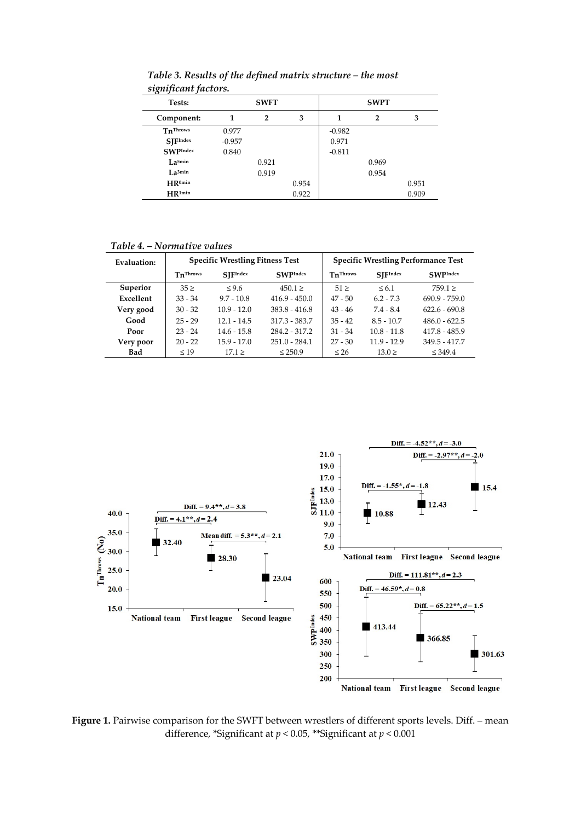| Tests:               | <b>SWFT</b> |                |       | <b>SWPT</b> |                |       |
|----------------------|-------------|----------------|-------|-------------|----------------|-------|
| Component:           |             | $\overline{2}$ | 3     |             | $\overline{2}$ | 3     |
| $Tn^{Throws}$        | 0.977       |                |       | $-0.982$    |                |       |
| <b>SIFIndex</b>      | $-0.957$    |                |       | 0.971       |                |       |
| <b>SWPIndex</b>      | 0.840       |                |       | $-0.811$    |                |       |
| $L_{a}$ 5min         |             | 0.921          |       |             | 0.969          |       |
| $L$ $a^{3min}$       |             | 0.919          |       |             | 0.954          |       |
| $HR^{0min}$          |             |                | 0.954 |             |                | 0.951 |
| $HR$ <sup>1min</sup> |             |                | 0.922 |             |                | 0.909 |

*Table 3. Results of the defined matrix structure – the most significant factors.* 

*Table 4. – Normative values* 

| Evaluation: |                 | <b>Specific Wrestling Fitness Test</b> |                 | <b>Specific Wrestling Performance Test</b> |                 |                 |
|-------------|-----------------|----------------------------------------|-----------------|--------------------------------------------|-----------------|-----------------|
|             | <b>TnThrows</b> | <b>SIFIndex</b>                        | <b>SWPIndex</b> | TnThrows                                   | <b>SIFIndex</b> | <b>SWPIndex</b> |
| Superior    | $35 \geq$       | $\leq 9.6$                             | $450.1 \ge$     | $51 \geq$                                  | $\leq 6.1$      | $759.1 \ge$     |
| Excellent   | $33 - 34$       | $9.7 - 10.8$                           | $416.9 - 450.0$ | $47 - 50$                                  | $6.2 - 7.3$     | $690.9 - 759.0$ |
| Very good   | $30 - 32$       | $10.9 - 12.0$                          | $383.8 - 416.8$ | $43 - 46$                                  | $7.4 - 8.4$     | $622.6 - 690.8$ |
| Good        | $25 - 29$       | $12.1 - 14.5$                          | 317.3 - 383.7   | $35 - 42$                                  | $8.5 - 10.7$    | $486.0 - 622.5$ |
| Poor        | $23 - 24$       | $14.6 - 15.8$                          | 284.2 - 317.2   | $31 - 34$                                  | $10.8 - 11.8$   | $417.8 - 485.9$ |
| Very poor   | $20 - 22$       | $15.9 - 17.0$                          | $251.0 - 284.1$ | $27 - 30$                                  | $11.9 - 12.9$   | $349.5 - 417.7$ |
| <b>Bad</b>  | $\leq 19$       | $17.1 \ge$                             | $\leq 250.9$    | $\leq 26$                                  | $13.0 \geq$     | $\leq 349.4$    |



Figure 1. Pairwise comparison for the SWFT between wrestlers of different sports levels. Diff. – mean difference, \*Significant at *p* < 0.05, \*\*Significant at *p* < 0.001